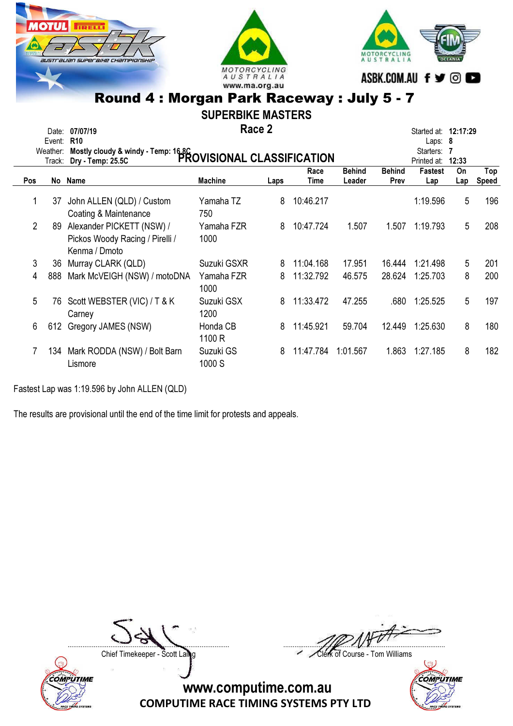





SUPERBIKE MASTERS

Race 2 Date: 07/07/19 **Started at: 12:17:29 Race 2** Started at: 12:17:29

|                | Event: R10<br>Weather:<br>Track: | Mostly cloudy & windy - Temp: 16.8C<br>Analytic of France PROVISIONAL CLASSIFICATION |                     |      |              |                         |                       | Laps: $8$<br>Starters: 7<br>Printed at: | 12:33     |                     |
|----------------|----------------------------------|--------------------------------------------------------------------------------------|---------------------|------|--------------|-------------------------|-----------------------|-----------------------------------------|-----------|---------------------|
| <b>Pos</b>     |                                  | No Name                                                                              | <b>Machine</b>      | Laps | Race<br>Time | <b>Behind</b><br>Leader | <b>Behind</b><br>Prev | <b>Fastest</b><br>Lap                   | On<br>Lap | Top<br><b>Speed</b> |
| 1              | 37                               | John ALLEN (QLD) / Custom<br>Coating & Maintenance                                   | Yamaha TZ<br>750    | 8    | 10:46.217    |                         |                       | 1:19.596                                | 5         | 196                 |
| $\overline{2}$ | 89                               | Alexander PICKETT (NSW) /<br>Pickos Woody Racing / Pirelli /<br>Kenma / Dmoto        | Yamaha FZR<br>1000  | 8    | 10:47.724    | 1.507                   | 1.507                 | 1:19.793                                | 5         | 208                 |
| 3              | 36                               | Murray CLARK (QLD)                                                                   | Suzuki GSXR         | 8    | 11:04.168    | 17.951                  | 16.444                | 1:21.498                                | 5         | 201                 |
| 4              | 888                              | Mark McVEIGH (NSW) / motoDNA                                                         | Yamaha FZR<br>1000  | 8    | 11:32.792    | 46.575                  | 28.624                | 1:25.703                                | 8         | 200                 |
| 5              | 76                               | Scott WEBSTER (VIC) / T & K<br>Carney                                                | Suzuki GSX<br>1200  | 8    | 11:33.472    | 47.255                  | .680                  | 1:25.525                                | 5         | 197                 |
| 6              | 612                              | Gregory JAMES (NSW)                                                                  | Honda CB<br>1100 R  | 8    | 11:45.921    | 59.704                  | 12.449                | 1:25.630                                | 8         | 180                 |
|                | 134                              | Mark RODDA (NSW) / Bolt Barn<br>Lismore                                              | Suzuki GS<br>1000 S | 8    | 11:47.784    | 1:01.567                | 1.863                 | 1:27.185                                | 8         | 182                 |

Fastest Lap was 1:19.596 by John ALLEN (QLD)

The results are provisional until the end of the time limit for protests and appeals.

....................................................................................... .......................................................................................

Chief Timekeeper - Scott Laing Chief Timekeeper - Scott Laing



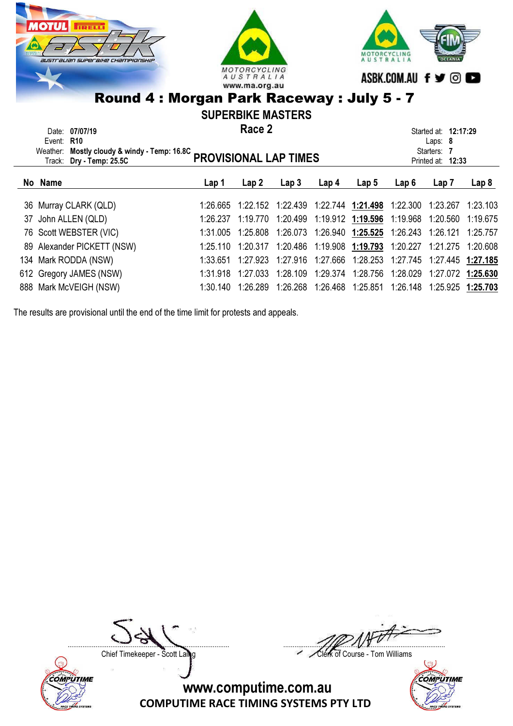

| Event: R10 | Date: 07/07/19<br>Weather: Mostly cloudy & windy - Temp: 16.8C<br>Weather: Mostly cloudy & windy - Temp: 16.8C<br>PROVISIONAL LAP TIMES |          | Race 2   |                  |       | Started at: <b>12:17:29</b><br>Laps: $8$<br>Starters: 7<br>Printed at: 12:33                                                          |       |       |       |
|------------|-----------------------------------------------------------------------------------------------------------------------------------------|----------|----------|------------------|-------|---------------------------------------------------------------------------------------------------------------------------------------|-------|-------|-------|
| No Name    |                                                                                                                                         | Lap 1    | Lap 2    | Lap <sub>3</sub> | Lap 4 | Lap 5                                                                                                                                 | Lap 6 | Lap 7 | Lap 8 |
|            | 36 Murray CLARK (QLD)<br>37 John ALLEN (QLD)                                                                                            | 1:26.237 | 1:19.770 |                  |       | 1:26.665 1:22.152 1:22.439 1:22.744 1:21.498 1:22.300 1:23.267 1:23.103<br>1:20.499  1:19.912  1:19.596  1:19.968  1:20.560  1:19.675 |       |       |       |

| 76 Scott WEBSTER (VIC) |                                                                                                         |  |  | 1:31.005 1:25.808 1:26.073 1:26.940 1:25.525 1:26.243 1:26.121 1:25.757 |                                                                                                                                                                                                                                                                                                          |
|------------------------|---------------------------------------------------------------------------------------------------------|--|--|-------------------------------------------------------------------------|----------------------------------------------------------------------------------------------------------------------------------------------------------------------------------------------------------------------------------------------------------------------------------------------------------|
|                        |                                                                                                         |  |  |                                                                         |                                                                                                                                                                                                                                                                                                          |
|                        |                                                                                                         |  |  |                                                                         |                                                                                                                                                                                                                                                                                                          |
|                        |                                                                                                         |  |  |                                                                         |                                                                                                                                                                                                                                                                                                          |
|                        |                                                                                                         |  |  |                                                                         |                                                                                                                                                                                                                                                                                                          |
|                        | 89 Alexander PICKETT (NSW)<br>134 Mark RODDA (NSW)<br>612 Gregory JAMES (NSW)<br>888 Mark McVEIGH (NSW) |  |  |                                                                         | 1:25.110 1:20.317 1:20.486 1:19.908 1:19.793 1:20.227 1:21.275 1:20.608<br>1:33.651 1:27.923 1:27.916 1:27.666 1:28.253 1:27.745 1:27.445 1:27.185<br>1:31.918 1:27.033 1:28.109 1:29.374 1:28.756 1:28.029 1:27.072 1:25.630<br>1:30.140 1:26.289 1:26.268 1:26.468 1:25.851 1:26.148 1:25.925 1:25.703 |

The results are provisional until the end of the time limit for protests and appeals.



....................................................................................... .......................................................................................

Chief Timekeeper - Scott Laing Chief Timekeeper - Scott Laing

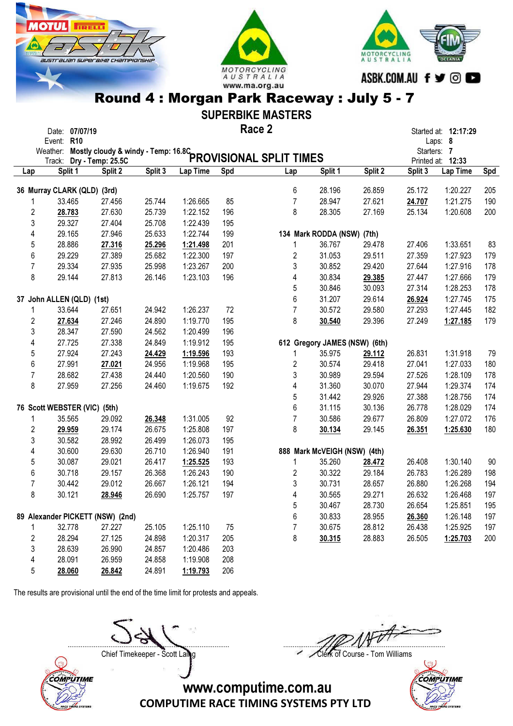





#### SUPERBIKE MASTERS

#### Race 2 Date: 07/07/19 **Started at: 12:17:29 Race 2** Started at: 12:17:29

|                | Event: R10<br>Weather:<br>Track:  |         |         |          |        | Mostly cloudy & windy - Temp: 16.8C<br>Mostly cloudy & windy - Temp: 16.8C<br>Contract of Francisc Science of Science of Temps: 16.8C |                               |         |         | Laps: 8<br>Starters: 7<br>Printed at: 12:33 |        |
|----------------|-----------------------------------|---------|---------|----------|--------|---------------------------------------------------------------------------------------------------------------------------------------|-------------------------------|---------|---------|---------------------------------------------|--------|
| Lap            | Split 1                           | Split 2 | Split 3 | Lap Time | Spd    | Lap                                                                                                                                   | Split 1                       | Split 2 | Split 3 | Lap Time                                    | Spd    |
|                |                                   |         |         |          |        | 6                                                                                                                                     | 28.196                        | 26.859  | 25.172  | 1:20.227                                    | 205    |
|                | 36 Murray CLARK (QLD) (3rd)       |         |         | 1:26.665 | 85     | $\overline{7}$                                                                                                                        |                               | 27.621  |         |                                             |        |
|                | 33.465                            | 27.456  | 25.744  |          |        |                                                                                                                                       | 28.947                        |         | 24.707  | 1:21.275                                    | 190    |
|                | $\overline{\mathbf{c}}$<br>28.783 | 27.630  | 25.739  | 1:22.152 | 196    | 8                                                                                                                                     | 28.305                        | 27.169  | 25.134  | 1:20.608                                    | 200    |
|                | 3<br>29.327                       | 27.404  | 25.708  | 1:22.439 | 195    |                                                                                                                                       |                               |         |         |                                             |        |
| 4              | 29.165                            | 27.946  | 25.633  | 1:22.744 | 199    |                                                                                                                                       | 134 Mark RODDA (NSW) (7th)    |         |         |                                             |        |
| 5              | 28.886                            | 27.316  | 25.296  | 1:21.498 | 201    | $\mathbf{1}$                                                                                                                          | 36.767                        | 29.478  | 27.406  | 1:33.651                                    | 83     |
| 6              | 29.229                            | 27.389  | 25.682  | 1:22.300 | 197    | $\overline{2}$                                                                                                                        | 31.053                        | 29.511  | 27.359  | 1:27.923                                    | 179    |
| $\overline{7}$ | 29.334                            | 27.935  | 25.998  | 1:23.267 | 200    | 3                                                                                                                                     | 30.852                        | 29.420  | 27.644  | 1:27.916                                    | 178    |
| 8              | 29.144                            | 27.813  | 26.146  | 1:23.103 | 196    | 4                                                                                                                                     | 30.834                        | 29.385  | 27.447  | 1:27.666                                    | 179    |
|                |                                   |         |         |          |        | $\sqrt{5}$                                                                                                                            | 30.846                        | 30.093  | 27.314  | 1:28.253                                    | 178    |
|                | 37 John ALLEN (QLD) (1st)         |         |         |          |        | 6                                                                                                                                     | 31.207                        | 29.614  | 26.924  | 1:27.745                                    | 175    |
| 1              | 33.644                            | 27.651  | 24.942  | 1:26.237 | $72\,$ | $\overline{7}$                                                                                                                        | 30.572                        | 29.580  | 27.293  | 1:27.445                                    | 182    |
|                | $\overline{2}$<br>27.634          | 27.246  | 24.890  | 1:19.770 | 195    | 8                                                                                                                                     | 30.540                        | 29.396  | 27.249  | 1:27.185                                    | 179    |
| 3              | 28.347                            | 27.590  | 24.562  | 1:20.499 | 196    |                                                                                                                                       |                               |         |         |                                             |        |
| 4              | 27.725                            | 27.338  | 24.849  | 1:19.912 | 195    |                                                                                                                                       | 612 Gregory JAMES (NSW) (6th) |         |         |                                             |        |
| 5              | 27.924                            | 27.243  | 24.429  | 1:19.596 | 193    | 1                                                                                                                                     | 35.975                        | 29.112  | 26.831  | 1:31.918                                    | 79     |
| 6              | 27.991                            | 27.021  | 24.956  | 1:19.968 | 195    | $\sqrt{2}$                                                                                                                            | 30.574                        | 29.418  | 27.041  | 1:27.033                                    | 180    |
| $\overline{7}$ | 28.682                            | 27.438  | 24.440  | 1:20.560 | 190    | 3                                                                                                                                     | 30.989                        | 29.594  | 27.526  | 1:28.109                                    | 178    |
| 8              | 27.959                            | 27.256  | 24.460  | 1:19.675 | 192    | 4                                                                                                                                     | 31.360                        | 30.070  | 27.944  | 1:29.374                                    | 174    |
|                |                                   |         |         |          |        | 5                                                                                                                                     | 31.442                        | 29.926  | 27.388  | 1:28.756                                    | 174    |
|                | 76 Scott WEBSTER (VIC) (5th)      |         |         |          |        | 6                                                                                                                                     | 31.115                        | 30.136  | 26.778  | 1:28.029                                    | 174    |
| 1              | 35.565                            | 29.092  | 26.348  | 1:31.005 | 92     | $\overline{7}$                                                                                                                        | 30.586                        | 29.677  | 26.809  | 1:27.072                                    | 176    |
| $\sqrt{2}$     | 29.959                            | 29.174  | 26.675  | 1:25.808 | 197    | 8                                                                                                                                     | 30.134                        | 29.145  | 26.351  | 1:25.630                                    | 180    |
|                | 3<br>30.582                       | 28.992  | 26.499  | 1:26.073 | 195    |                                                                                                                                       |                               |         |         |                                             |        |
| 4              | 30.600                            | 29.630  | 26.710  | 1:26.940 | 191    |                                                                                                                                       | 888 Mark McVEIGH (NSW) (4th)  |         |         |                                             |        |
| 5              | 30.087                            | 29.021  | 26.417  | 1:25.525 | 193    | 1                                                                                                                                     | 35.260                        | 28.472  | 26.408  | 1:30.140                                    | $90\,$ |
| 6              | 30.718                            | 29.157  | 26.368  | 1:26.243 | 190    | $\overline{2}$                                                                                                                        | 30.322                        | 29.184  | 26.783  | 1:26.289                                    | 198    |
| $\overline{7}$ | 30.442                            | 29.012  | 26.667  | 1:26.121 | 194    | 3                                                                                                                                     | 30.731                        | 28.657  | 26.880  | 1:26.268                                    | 194    |
| 8              | 30.121                            | 28.946  | 26.690  | 1:25.757 | 197    | $\overline{\mathbf{4}}$                                                                                                               | 30.565                        | 29.271  | 26.632  | 1:26.468                                    | 197    |
|                |                                   |         |         |          |        | 5                                                                                                                                     | 30.467                        | 28.730  | 26.654  | 1:25.851                                    | 195    |
|                | 89 Alexander PICKETT (NSW) (2nd)  |         |         |          |        | 6                                                                                                                                     | 30.833                        | 28.955  | 26.360  | 1:26.148                                    | 197    |
| 1              | 32.778                            | 27.227  | 25.105  | 1:25.110 | 75     | $\overline{7}$                                                                                                                        | 30.675                        | 28.812  | 26.438  | 1:25.925                                    | 197    |
|                | $\overline{\mathbf{c}}$<br>28.294 | 27.125  | 24.898  | 1:20.317 | 205    | 8                                                                                                                                     | 30.315                        | 28.883  | 26.505  | 1:25.703                                    | 200    |
| 3              | 28.639                            | 26.990  | 24.857  | 1:20.486 | 203    |                                                                                                                                       |                               |         |         |                                             |        |
| 4              | 28.091                            | 26.959  | 24.858  | 1:19.908 | 208    |                                                                                                                                       |                               |         |         |                                             |        |
| 5              | 28.060                            | 26.842  | 24.891  | 1:19.793 | 206    |                                                                                                                                       |                               |         |         |                                             |        |

The results are provisional until the end of the time limit for protests and appeals.



....................................................................................... .......................................................................................

Chief Timekeeper - Scott Laing Chief Timekeeper - Scott Laing

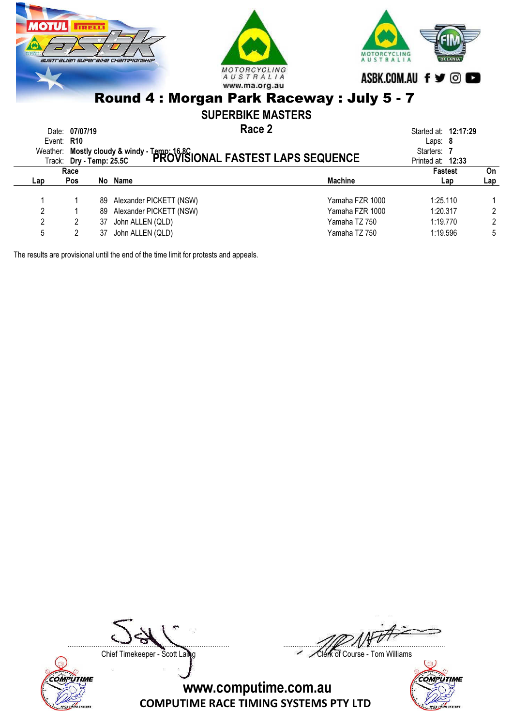

1 1 89 Alexander PICKETT (NSW) 1 1 25.110 1 2 1 89 Alexander PICKETT (NSW)<br>2 2 37 John ALLEN (QLD) 2 2 2 37 John ALLEN (QLD) 27 John ALLEN (QLD) 27 2 2 2 2 2 2 2 3 2 2 3 2 2 3 2 2 3 2 2 3 2 3 2 3 2 3 2 3 2 3 2 3 2 3 2 3 2 3 2 3 2 3 2 3 2 3 2 3 2 3 2 3 2 3 2 3 2 3 2 3 2 3 2 3 2 3 2 3 2 3 2 3 2 3 2 3 2 3 2 3 3 2 3 3 2 3 3 3 3 3 3 3 3 3 3 3 3 3 3 3 5 2 37 John ALLEN (QLD) 37 John ALLEN (QLD) 37 John ALLEN (QLD) 37 John ALLEN (QLD) 37 John ALLEN (QLD) 37 John ALLEN (QLD) 37 John ALLEN (QLD) 37 John ALLEN (QLD) 37 John ALLEN (QLD) 37 John ALLEN (QLD) 37 John ALLEN (QLD

The results are provisional until the end of the time limit for protests and appeals.





Chief Timekeeper - Scott Laing Chief Timekeeper - Scott Laing

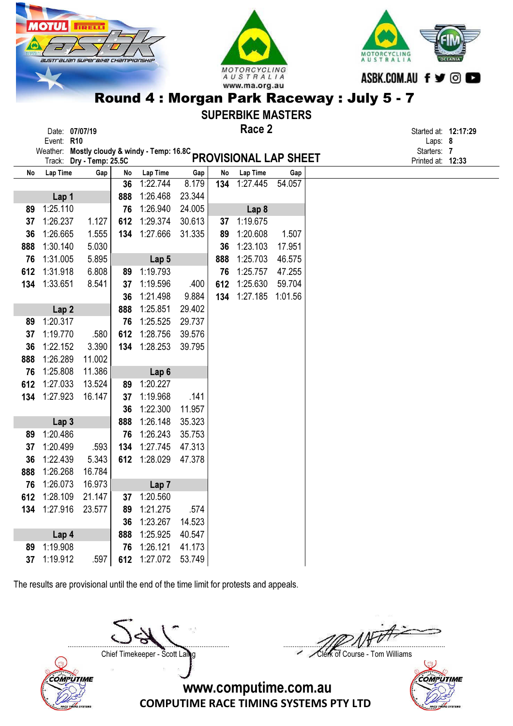|                                                                        | <b>MOTUL</b>                      | <b>IRELLI</b>     |           |                                     |                  |           |                              |               |  |                           |                                 |  |
|------------------------------------------------------------------------|-----------------------------------|-------------------|-----------|-------------------------------------|------------------|-----------|------------------------------|---------------|--|---------------------------|---------------------------------|--|
| $\bullet$                                                              |                                   |                   |           |                                     |                  |           |                              |               |  |                           |                                 |  |
|                                                                        | australian superaixe championskir |                   |           |                                     |                  |           |                              |               |  | MOTORCYCLING<br>AUSTRALIA |                                 |  |
|                                                                        |                                   |                   |           |                                     |                  |           | MOTORCYCLING                 |               |  |                           |                                 |  |
|                                                                        |                                   |                   |           |                                     |                  |           | AUSTRALIA<br>www.ma.org.au   |               |  | ASBK.COM.AU f y © O       |                                 |  |
|                                                                        |                                   |                   |           |                                     |                  |           |                              |               |  |                           |                                 |  |
| Round 4 : Morgan Park Raceway : July 5 - 7<br><b>SUPERBIKE MASTERS</b> |                                   |                   |           |                                     |                  |           |                              |               |  |                           |                                 |  |
|                                                                        |                                   |                   |           |                                     |                  |           | Race 2                       |               |  |                           |                                 |  |
|                                                                        | Date: 07/07/19<br>Event: R10      |                   |           |                                     |                  |           |                              |               |  |                           | Started at: 12:17:29<br>Laps: 8 |  |
|                                                                        | Weather:                          |                   |           | Mostly cloudy & windy - Temp: 16.8C |                  |           |                              |               |  |                           | Starters: 7                     |  |
|                                                                        | Track:                            | Dry - Temp: 25.5C |           |                                     |                  |           | <b>PROVISIONAL LAP SHEET</b> |               |  |                           | Printed at: 12:33               |  |
| No                                                                     | Lap Time                          | Gap               | No<br>36  | Lap Time<br>1:22.744                | Gap<br>8.179     | No<br>134 | Lap Time<br>1:27.445         | Gap<br>54.057 |  |                           |                                 |  |
|                                                                        | Lap 1                             |                   | 888       | 1:26.468                            | 23.344           |           |                              |               |  |                           |                                 |  |
| 89                                                                     | 1:25.110                          |                   | 76        | 1:26.940                            | 24.005           |           | Lap 8                        |               |  |                           |                                 |  |
| 37                                                                     | 1:26.237                          | 1.127             | 612       | 1:29.374                            | 30.613           | 37        | 1:19.675                     |               |  |                           |                                 |  |
| 36                                                                     | 1:26.665                          | 1.555             | 134       | 1:27.666                            | 31.335           | 89        | 1:20.608                     | 1.507         |  |                           |                                 |  |
| 888                                                                    | 1:30.140                          | 5.030             |           |                                     |                  | 36        | 1:23.103                     | 17.951        |  |                           |                                 |  |
| 76                                                                     | 1:31.005                          | 5.895             |           | Lap 5                               |                  | 888       | 1:25.703                     | 46.575        |  |                           |                                 |  |
| 612                                                                    | 1:31.918                          | 6.808             | 89        | 1:19.793                            |                  | 76        | 1:25.757                     | 47.255        |  |                           |                                 |  |
| 134                                                                    | 1:33.651                          | 8.541             | 37        | 1:19.596                            | .400             | 612       | 1:25.630                     | 59.704        |  |                           |                                 |  |
|                                                                        |                                   |                   | 36        | 1:21.498                            | 9.884            | 134       | 1:27.185                     | 1:01.56       |  |                           |                                 |  |
|                                                                        | Lap <sub>2</sub>                  |                   | 888       | 1:25.851                            | 29.402           |           |                              |               |  |                           |                                 |  |
| 89                                                                     | 1:20.317                          |                   | 76        | 1:25.525                            | 29.737           |           |                              |               |  |                           |                                 |  |
| 37                                                                     | 1:19.770                          | .580              | 612       | 1:28.756                            | 39.576           |           |                              |               |  |                           |                                 |  |
| 36                                                                     | 1:22.152                          | 3.390             | 134       | 1:28.253                            | 39.795           |           |                              |               |  |                           |                                 |  |
| 888                                                                    | 1:26.289                          | 11.002            |           |                                     |                  |           |                              |               |  |                           |                                 |  |
| 76                                                                     | 1:25.808                          | 11.386            |           | Lap <sub>6</sub>                    |                  |           |                              |               |  |                           |                                 |  |
| 612                                                                    | 1:27.033                          | 13.524            | 89        | 1:20.227                            |                  |           |                              |               |  |                           |                                 |  |
| 134                                                                    | 1:27.923                          | 16.147            | 37        | 1:19.968                            | .141             |           |                              |               |  |                           |                                 |  |
|                                                                        |                                   |                   | 36        | 1:22.300<br>1:26.148                | 11.957<br>35.323 |           |                              |               |  |                           |                                 |  |
| 89                                                                     | Lap <sub>3</sub><br>1:20.486      |                   | 888<br>76 | 1:26.243                            | 35.753           |           |                              |               |  |                           |                                 |  |
| 37                                                                     | 1:20.499                          | .593              | 134       | 1:27.745                            | 47.313           |           |                              |               |  |                           |                                 |  |
| 36                                                                     | 1:22.439                          | 5.343             | 612       | 1:28.029                            | 47.378           |           |                              |               |  |                           |                                 |  |
| 888                                                                    | 1:26.268                          | 16.784            |           |                                     |                  |           |                              |               |  |                           |                                 |  |
| 76                                                                     | 1:26.073                          | 16.973            |           | Lap <sub>7</sub>                    |                  |           |                              |               |  |                           |                                 |  |
| 612                                                                    | 1:28.109                          | 21.147            | 37        | 1:20.560                            |                  |           |                              |               |  |                           |                                 |  |
| 134                                                                    | 1:27.916                          | 23.577            | 89        | 1:21.275                            | .574             |           |                              |               |  |                           |                                 |  |
|                                                                        |                                   |                   | 36        | 1:23.267                            | 14.523           |           |                              |               |  |                           |                                 |  |
|                                                                        | Lap 4                             |                   | 888       | 1:25.925                            | 40.547           |           |                              |               |  |                           |                                 |  |
| 89                                                                     | 1:19.908                          |                   | 76        | 1:26.121                            | 41.173           |           |                              |               |  |                           |                                 |  |

The results are provisional until the end of the time limit for protests and appeals.

89 1:19.908 76 1:26.121 41.173 37 1:19.912 .597 612 1:27.072 53.749

COMPUTIME



Chief Timekeeper - Scott Laing Chief Timekeeper - Scott Laing

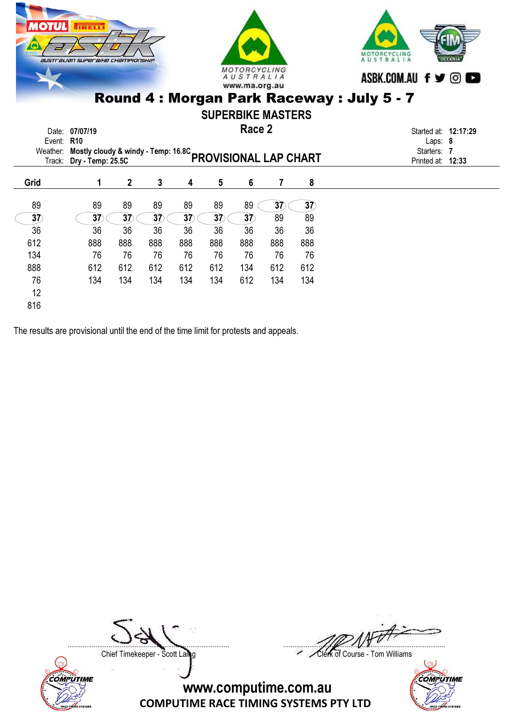

The results are provisional until the end of the time limit for protests and appeals.

 $37 \qquad (37) \qquad 37 \qquad 37 \qquad 37 \qquad 37 \qquad 37$  89 89 36 36 36 36 36 36 36 36 36 612 888 888 888 888 888 888 888 888 134 76 76 76 76 76 76 76 76 888 612 612 612 612 612 134 612 612 76 134 134 134 134 134 612 134 134





12 816

....................................................................................... .......................................................................................

Chief Timekeeper - Scott Laing Chief Timekeeper - Scott Laing

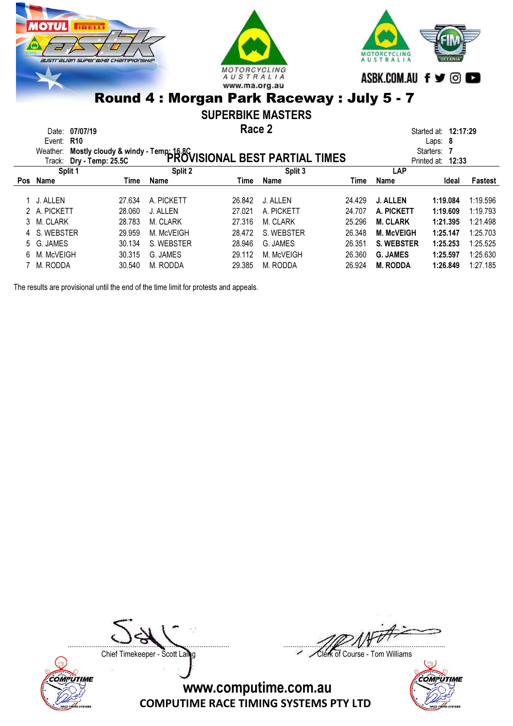





#### SUPERBIKE MASTERS

Race 2 Date: 07/07/19 **Started at: 12:17:29 Race 2** Started at: 12:17:29

|     | Event: R10               |        |                                                                                                |        |            |        |                   | Laps: $8$            |          |  |
|-----|--------------------------|--------|------------------------------------------------------------------------------------------------|--------|------------|--------|-------------------|----------------------|----------|--|
|     | Weather:                 |        | Mostly cloudy & windy - Temp: 16.8C<br>Dry - Tamp: 25.5C <b>PROVISIONAL BEST PARTIAL TIMES</b> |        |            |        |                   | Starters:            |          |  |
|     | Track: Dry - Temp: 25.5C |        |                                                                                                |        |            |        |                   | Printed at:<br>12:33 |          |  |
|     | Split 1                  |        | Split 2                                                                                        |        | Split 3    |        | <b>LAP</b>        |                      |          |  |
| Pos | Name                     | Time   | Name                                                                                           | Time   | Name       | Time   | Name              | Ideal                | Fastest  |  |
|     |                          |        |                                                                                                |        |            |        |                   |                      |          |  |
|     | 1 J. ALLEN               | 27.634 | A. PICKETT                                                                                     | 26.842 | J. ALLEN   | 24.429 | <b>J. ALLEN</b>   | 1:19.084             | 1:19.596 |  |
|     | 2 A. PICKETT             | 28.060 | J. ALLEN                                                                                       | 27.021 | A. PICKETT | 24.707 | A. PICKETT        | 1:19.609             | 1:19.793 |  |
|     | 3 M. CLARK               | 28.783 | M. CLARK                                                                                       | 27.316 | M. CLARK   | 25.296 | <b>M. CLARK</b>   | 1:21.395             | 1:21.498 |  |
|     | 4 S. WEBSTER             | 29.959 | M. McVEIGH                                                                                     | 28.472 | S. WEBSTER | 26.348 | <b>M. McVEIGH</b> | 1:25.147             | 1:25.703 |  |
|     | 5 G. JAMES               | 30.134 | S. WEBSTER                                                                                     | 28.946 | G. JAMES   | 26.351 | <b>S. WEBSTER</b> | 1:25.253             | 1:25.525 |  |
| 6.  | M. McVEIGH               | 30.315 | G. JAMES                                                                                       | 29.112 | M. McVEIGH | 26.360 | <b>G. JAMES</b>   | 1:25.597             | 1:25.630 |  |
|     | 7 M. RODDA               | 30.540 | M. RODDA                                                                                       | 29.385 | M. RODDA   | 26.924 | <b>M. RODDA</b>   | 1:26.849             | 1:27.185 |  |

The results are provisional until the end of the time limit for protests and appeals.



....................................................................................... .......................................................................................

Chief Timekeeper - Scott Laing Chief Timekeeper - Scott Laing

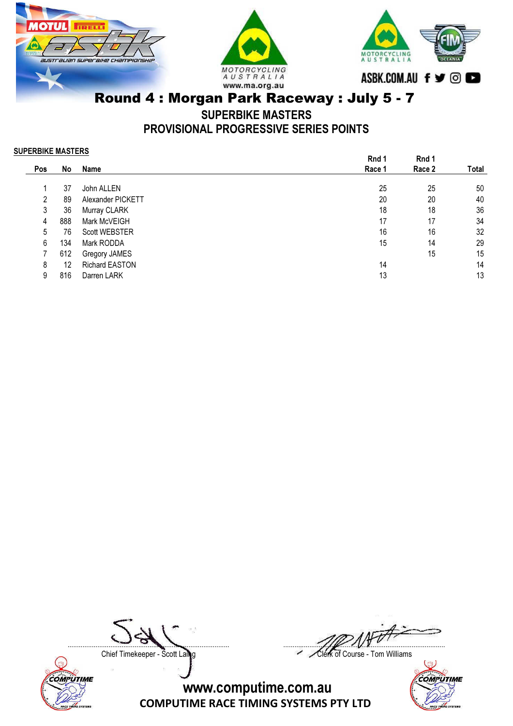





SUPERBIKE MASTERS

PROVISIONAL PROGRESSIVE SERIES POINTS

#### SUPERBIKE MASTERS

|            |     |                       | Rnd 1  | Rnd 1  |       |
|------------|-----|-----------------------|--------|--------|-------|
| <b>Pos</b> | No  | Name                  | Race 1 | Race 2 | Total |
|            |     |                       |        |        |       |
|            | 37  | John ALLEN            | 25     | 25     | 50    |
| 2          | 89  | Alexander PICKETT     | 20     | 20     | 40    |
| 3          | 36  | Murray CLARK          | 18     | 18     | 36    |
| 4          | 888 | Mark McVEIGH          | 17     | 17     | 34    |
| 5          | 76  | <b>Scott WEBSTER</b>  | 16     | 16     | 32    |
| 6          | 134 | Mark RODDA            | 15     | 14     | 29    |
|            | 612 | Gregory JAMES         |        | 15     | 15    |
| 8          | 12  | <b>Richard EASTON</b> | 14     |        | 14    |
| 9          | 816 | Darren LARK           | 13     |        | 13    |
|            |     |                       |        |        |       |



....................................................................................... .......................................................................................

Chief Timekeeper - Scott Laing Chief Timekeeper - Scott Laing